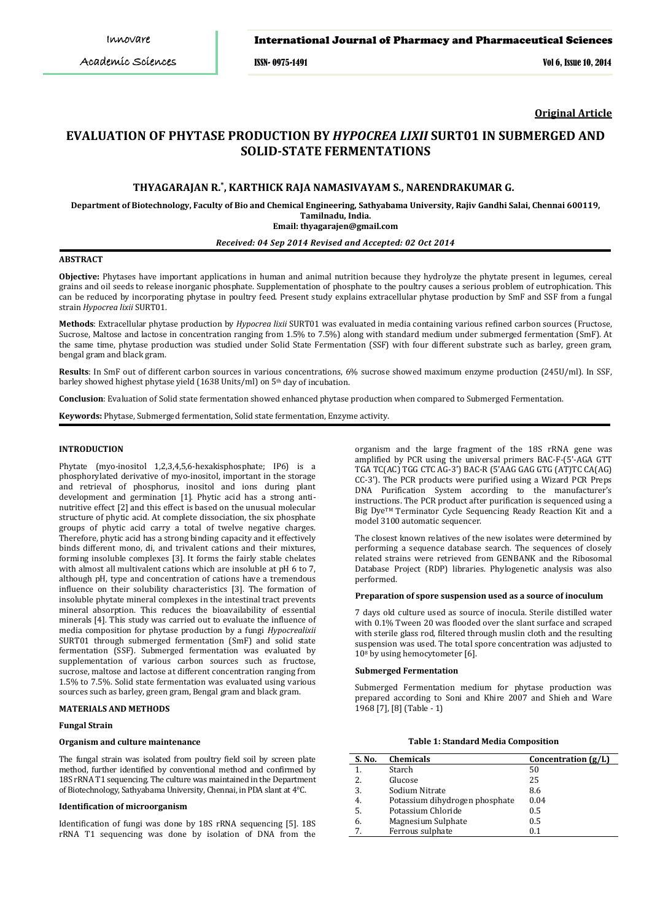ISSN- 0975-1491 Vol 6, Issue 10, 2014

**Original Article**

# **EVALUATION OF PHYTASE PRODUCTION BY** *HYPOCREA LIXII* **SURT01 IN SUBMERGED AND SOLID-STATE FERMENTATIONS**

# **THYAGARAJAN R.\* , KARTHICK RAJA NAMASIVAYAM S., NARENDRAKUMAR G.**

**Department of Biotechnology, Faculty of Bio and Chemical Engineering, Sathyabama University, Rajiv Gandhi Salai, Chennai 600119, Tamilnadu, India.**

**Email: thyagarajen@gmail.com**

# *Received: 04 Sep 2014 Revised and Accepted: 02 Oct 2014*

# **ABSTRACT**

**Objective:** Phytases have important applications in human and animal nutrition because they hydrolyze the phytate present in legumes, cereal grains and oil seeds to release inorganic phosphate. Supplementation of phosphate to the poultry causes a serious problem of eutrophication. This can be reduced by incorporating phytase in poultry feed. Present study explains extracellular phytase production by SmF and SSF from a fungal strain *Hypocrea lixii* SURT01.

**Methods**: Extracellular phytase production by *Hypocrea lixii* SURT01 was evaluated in media containing various refined carbon sources (Fructose, Sucrose, Maltose and lactose in concentration ranging from 1.5% to 7.5%) along with standard medium under submerged fermentation (SmF). At the same time, phytase production was studied under Solid State Fermentation (SSF) with four different substrate such as barley, green gram, bengal gram and black gram.

**Results**: In SmF out of different carbon sources in various concentrations, 6% sucrose showed maximum enzyme production (245U/ml). In SSF, barley showed highest phytase yield (1638 Units/ml) on 5th day of incubation.

**Conclusion**: Evaluation of Solid state fermentation showed enhanced phytase production when compared to Submerged Fermentation.

**Keywords:** Phytase, Submerged fermentation, Solid state fermentation, Enzyme activity.

#### **INTRODUCTION**

Phytate (myo-inositol 1,2,3,4,5,6-hexakisphosphate; IP6) is a phosphorylated derivative of myo-inositol, important in the storage and retrieval of phosphorus, inositol and ions during plant development and germination [1]. Phytic acid has a strong antinutritive effect [2] and this effect is based on the unusual molecular structure of phytic acid. At complete dissociation, the six phosphate groups of phytic acid carry a total of twelve negative charges. Therefore, phytic acid has a strong binding capacity and it effectively binds different mono, di, and trivalent cations and their mixtures, forming insoluble complexes [3]. It forms the fairly stable chelates with almost all multivalent cations which are insoluble at pH 6 to 7, although pH, type and concentration of cations have a tremendous influence on their solubility characteristics [3]. The formation of insoluble phytate mineral complexes in the intestinal tract prevents mineral absorption. This reduces the bioavailability of essential minerals [4]. This study was carried out to evaluate the influence of media composition for phytase production by a fungi *Hypocrealixii* SURT01 through submerged fermentation (SmF) and solid state fermentation (SSF). Submerged fermentation was evaluated by supplementation of various carbon sources such as fructose, sucrose, maltose and lactose at different concentration ranging from 1.5% to 7.5%. Solid state fermentation was evaluated using various sources such as barley, green gram, Bengal gram and black gram.

### **MATERIALS AND METHODS**

#### **Fungal Strain**

# **Organism and culture maintenance**

The fungal strain was isolated from poultry field soil by screen plate method, further identified by conventional method and confirmed by 18S rRNA T1 sequencing. The culture was maintained in the Department of Biotechnology, Sathyabama University, Chennai, in PDA slant at 4°C.

### **Identification of microorganism**

Identification of fungi was done by 18S rRNA sequencing [5]. 18S rRNA T1 sequencing was done by isolation of DNA from the

organism and the large fragment of the 18S rRNA gene was amplified by PCR using the universal primers BAC-F-(5'-AGA GTT TGA TC(AC) TGG CTC AG-3') BAC-R (5'AAG GAG GTG (AT)TC CA(AG) CC-3'). The PCR products were purified using a Wizard PCR Preps DNA Purification System according to the manufacturer's instructions. The PCR product after purification is sequenced using a Big Dye™ Terminator Cycle Sequencing Ready Reaction Kit and a model 3100 automatic sequencer.

The closest known relatives of the new isolates were determined by performing a sequence database search. The sequences of closely related strains were retrieved from GENBANK and the Ribosomal Database Project (RDP) libraries. Phylogenetic analysis was also performed.

#### **Preparation of spore suspension used as a source of inoculum**

7 days old culture used as source of inocula. Sterile distilled water with 0.1% Tween 20 was flooded over the slant surface and scraped with sterile glass rod, filtered through muslin cloth and the resulting suspension was used. The total spore concentration was adjusted to 108 by using hemocytometer [6].

#### **Submerged Fermentation**

Submerged Fermentation medium for phytase production was prepared according to Soni and Khire 2007 and Shieh and Ware 1968 [7], [8] (Table - 1)

|  |  |  | <b>Table 1: Standard Media Composition</b> |
|--|--|--|--------------------------------------------|
|--|--|--|--------------------------------------------|

| S. No. | <b>Chemicals</b>               | Concentration $(g/L)$ |
|--------|--------------------------------|-----------------------|
| 1.     | Starch                         | 50                    |
| 2.     | Glucose                        | 25                    |
| 3.     | Sodium Nitrate                 | 8.6                   |
| 4.     | Potassium dihydrogen phosphate | 0.04                  |
| 5.     | Potassium Chloride             | 0.5                   |
| 6.     | Magnesium Sulphate             | 0.5                   |
| 7.     | Ferrous sulphate               | 0.1                   |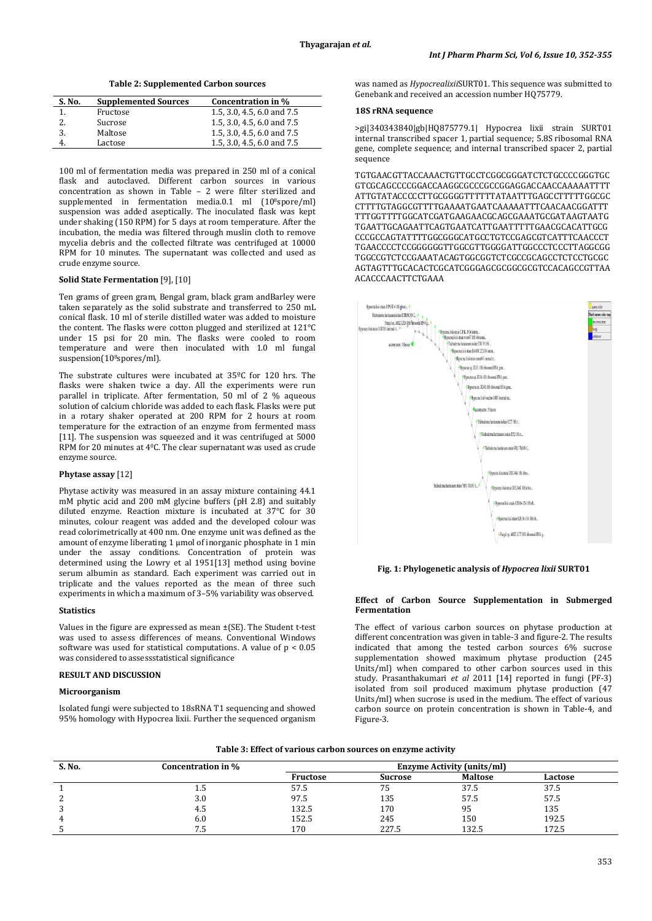**Table 2: Supplemented Carbon sources**

| <b>Supplemented Sources</b> | Concentration in %         |
|-----------------------------|----------------------------|
| Fructose                    | 1.5, 3.0, 4.5, 6.0 and 7.5 |
| Sucrose                     | 1.5, 3.0, 4.5, 6.0 and 7.5 |
| Maltose                     | 1.5, 3.0, 4.5, 6.0 and 7.5 |
| Lactose                     | 1.5, 3.0, 4.5, 6.0 and 7.5 |
|                             |                            |

100 ml of fermentation media was prepared in 250 ml of a conical flask and autoclaved. Different carbon sources in various concentration as shown in Table – 2 were filter sterilized and supplemented in fermentation media.0.1 ml (10<sup>8</sup>spore/ml) suspension was added aseptically. The inoculated flask was kept under shaking (150 RPM) for 5 days at room temperature. After the incubation, the media was filtered through muslin cloth to remove mycelia debris and the collected filtrate was centrifuged at 10000 RPM for 10 minutes. The supernatant was collected and used as crude enzyme source.

# **Solid State Fermentation** [9], [10]

Ten grams of green gram, Bengal gram, black gram andBarley were taken separately as the solid substrate and transferred to 250 mL conical flask. 10 ml of sterile distilled water was added to moisture the content. The flasks were cotton plugged and sterilized at 121°C under 15 psi for 20 min. The flasks were cooled to room temperature and were then inoculated with 1.0 ml fungal suspension(10<sup>8</sup>spores/ml).

The substrate cultures were incubated at 35ºC for 120 hrs. The flasks were shaken twice a day. All the experiments were run parallel in triplicate. After fermentation, 50 ml of 2 % aqueous solution of calcium chloride was added to each flask. Flasks were put in a rotary shaker operated at 200 RPM for 2 hours at room temperature for the extraction of an enzyme from fermented mass [11]. The suspension was squeezed and it was centrifuged at 5000 RPM for 20 minutes at 40 C. The clear supernatant was used as crude enzyme source.

# **Phytase assay** [12]

Phytase activity was measured in an assay mixture containing 44.1 mM phytic acid and 200 mM glycine buffers (pH 2.8) and suitably diluted enzyme. Reaction mixture is incubated at 37°C for 30 minutes, colour reagent was added and the developed colour was read colorimetrically at 400 nm. One enzyme unit was defined as the amount of enzyme liberating 1 µmol of inorganic phosphate in 1 min under the assay conditions. Concentration of protein was determined using the Lowry et al 1951[13] method using bovine serum albumin as standard. Each experiment was carried out in triplicate and the values reported as the mean of three such experiments in which a maximum of 3–5% variability was observed.

#### **Statistics**

Values in the figure are expressed as mean ±(SE). The Student t-test was used to assess differences of means. Conventional Windows software was used for statistical computations. A value of p < 0.05 was considered to assessstatistical significance

### **RESULT AND DISCUSSION**

#### **Microorganism**

Isolated fungi were subjected to 18sRNA T1 sequencing and showed 95% homology with Hypocrea lixii. Further the sequenced organism was named as *Hypocrealixii*SURT01. This sequence was submitted to Genebank and received an accession number HQ75779.

#### **18S rRNA sequence**

>gi|340343840|gb|HQ875779.1| Hypocrea lixii strain SURT01 internal transcribed spacer 1, partial sequence; 5.8S ribosomal RNA gene, complete sequence; and internal transcribed spacer 2, partial sequence

TGTGAACGTTACCAAACTGTTGCCTCGGCGGGATCTCTGCCCCGGGTGC GTCGCAGCCCCGGACCAAGGCGCCCGCCGGAGGACCAACCAAAAATTTT ATTGTATACCCCCTTGCGGGGTTTTTTATAATTTGAGCCTTTTTGGCGC CTTTTGTAGGCGTTTTGAAAATGAATCAAAAATTTCAACAACGGATTT TTTGGTTTTGGCATCGATGAAGAACGCAGCGAAATGCGATAAGTAATG TGAATTGCAGAATTCAGTGAATCATTGAATTTTTGAACGCACATTGCG CCCGCCAGTATTTTGGCGGGCATGCCTGTCCGAGCGTCATTTCAACCCT TGAACCCCTCCGGGGGGTTGGCGTTGGGGATTGGCCCTCCCTTAGGCGG TGGCCGTCTCCGAAATACAGTGGCGGTCTCGCCGCAGCCTCTCCTGCGC AGTAGTTTGCACACTCGCATCGGGAGCGCGGCGCGTCCACAGCCGTTAA ACACCCAACTTCTGAAA



## **Fig. 1: Phylogenetic analysis of** *Hypocrea lixii* **SURT01**

### **Effect of Carbon Source Supplementation in Submerged Fermentation**

The effect of various carbon sources on phytase production at different concentration was given in table-3 and figure-2. The results indicated that among the tested carbon sources 6% sucrose supplementation showed maximum phytase production (245 Units/ml) when compared to other carbon sources used in this study. Prasanthakumari *et al* 2011 [14] reported in fungi (PF-3) isolated from soil produced maximum phytase production (47 Units/ml) when sucrose is used in the medium. The effect of various carbon source on protein concentration is shown in Table-4, and Figure-3.

| Table 3: Effect of various carbon sources on enzyme activity |  |  |  |
|--------------------------------------------------------------|--|--|--|
|                                                              |  |  |  |

| S. No. | Concentration in % |          |         | <b>Enzyme Activity (units/ml)</b> |         |  |
|--------|--------------------|----------|---------|-----------------------------------|---------|--|
|        |                    | Fructose | Sucrose | <b>Maltose</b>                    | Lactose |  |
|        | ل د 1              | 57.5     | 75      | 37.5                              | 37.5    |  |
|        | 3.0                | 97.5     | 135     | 57.5                              | 57.5    |  |
|        | 4.5                | 132.5    | 170     | 95                                | 135     |  |
|        | 6.0                | 152.5    | 245     | 150                               | 192.5   |  |
|        | ר. /               | 170      | 227.5   | 132.5                             | 172.5   |  |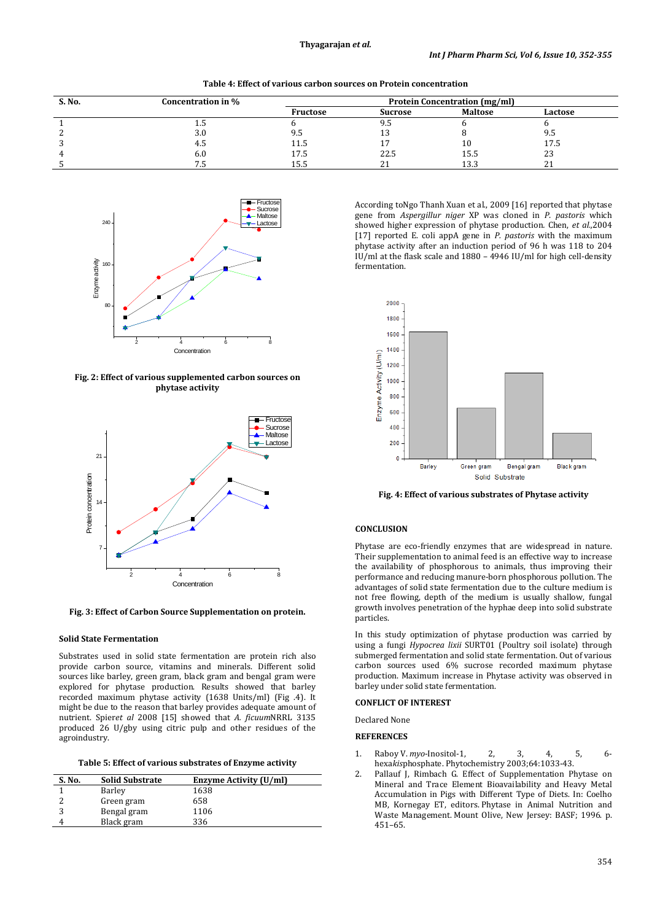| S. No. | Concentration in % |                 |                | <b>Protein Concentration (mg/ml)</b> |         |  |
|--------|--------------------|-----------------|----------------|--------------------------------------|---------|--|
|        |                    | <b>Fructose</b> | <b>Sucrose</b> | <b>Maltose</b>                       | Lactose |  |
|        | ل د 1              |                 | 9.5            |                                      |         |  |
|        | 3.0                | 9.5             |                |                                      | 9.5     |  |
|        | 4.5                | 11.5            |                | ΙU                                   | 17.5    |  |
|        | 6.0                | 17.5            | 22.5           | 15.5                                 | 23      |  |
|        |                    | 15.5            |                | 13.3                                 | 41      |  |



**Fig. 2: Effect of various supplemented carbon sources on phytase activity**



**Fig. 3: Effect of Carbon Source Supplementation on protein.**

## **Solid State Fermentation**

Substrates used in solid state fermentation are protein rich also provide carbon source, vitamins and minerals. Different solid sources like barley, green gram, black gram and bengal gram were explored for phytase production. Results showed that barley recorded maximum phytase activity (1638 Units/ml) (Fig .4). It might be due to the reason that barley provides adequate amount of nutrient. Spier*et al* 2008 [15] showed that *A. ficuum*NRRL 3135 produced 26 U/gby using citric pulp and other residues of the agroindustry.

**Table 5: Effect of various substrates of Enzyme activity**

| S. No. | <b>Solid Substrate</b> | Enzyme Activity (U/ml) |
|--------|------------------------|------------------------|
|        | Barley                 | 1638                   |
|        | Green gram             | 658                    |
|        | Bengal gram            | 1106                   |
|        | Black gram             | 336                    |

According toNgo Thanh Xuan et al., 2009 [16] reported that phytase gene from *Aspergillur niger* XP was cloned in *P. pastoris* which showed higher expression of phytase production*.* Chen, *et al.,*2004 [17] reported E. coli appA gene in *P. pastoris* with the maximum phytase activity after an induction period of 96 h was 118 to 204 IU/ml at the flask scale and  $1880 - 4946$  IU/ml for high cell-density fermentation.



**Fig. 4: Effect of various substrates of Phytase activity**

# **CONCLUSION**

Phytase are eco-friendly enzymes that are widespread in nature. Their supplementation to animal feed is an effective way to increase the availability of phosphorous to animals, thus improving their performance and reducing manure-born phosphorous pollution. The advantages of solid state fermentation due to the culture medium is not free flowing, depth of the medium is usually shallow, fungal growth involves penetration of the hyphae deep into solid substrate particles.

In this study optimization of phytase production was carried by using a fungi *Hypocrea lixii* SURT01 (Poultry soil isolate) through submerged fermentation and solid state fermentation. Out of various carbon sources used 6% sucrose recorded maximum phytase production. Maximum increase in Phytase activity was observed in barley under solid state fermentation.

# **CONFLICT OF INTEREST**

Declared None

### **REFERENCES**

- 1. Raboy V. *myo*-Inositol-1, 2, 3, 4, 5, 6 hexa*kis*phosphate. Phytochemistry 2003;64:1033-43.
- 2. Pallauf J, Rimbach G. Effect of Supplementation Phytase on Mineral and Trace Element Bioavailability and Heavy Metal Accumulation in Pigs with Different Type of Diets. In: Coelho MB, Kornegay ET, editors. Phytase in Animal Nutrition and Waste Management. Mount Olive, New Jersey: BASF; 1996. p. 451–65.